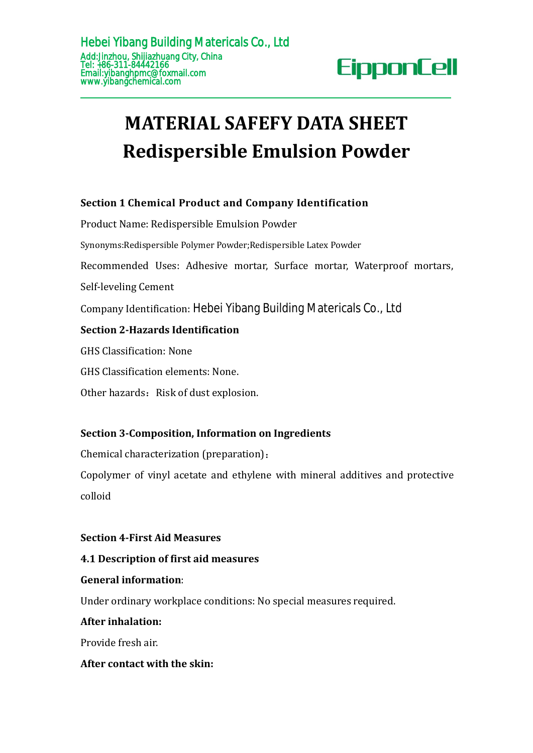# **MATERIAL SAFEFY DATA SHEET Redispersible Emulsion Powder AddisfinanceChemical Product And Chemical Product Name (City, China<br>
Enall;ylbanghpmc@foxmall.com<br>
Email:ylbanghpmc@foxmall.com<br>
<b>MATERIAL SAFEFY DATA SHEET**<br> **Redispersible Emulsion Powder**<br>
Section 1 Chemical Product a

**Section 3-Composition, Information on Ingredients MATERIAL SAFEFY DATA SHEET<br>
Redispersible Emulsion Powde**<br>
Section 1 Chemical Product and Company Identification<br>
Product Name: Redispersible Emulsion Powder<br>
Synonyms:Redispersible Polymer Powder;Redispersible Latex Powd **Redispersible Emulsion Powder**<br>Section 1 Chemical Product and Company Identification<br>Product Name: Redispersible Emulsion Powder<br>Synonyms:Redispersible Polymer Powder;Redispersible Latex Powder<br>Recommended Uses: Adhesive **Recuspersible Emuision Powder**<br>Section 1 Chemical Product and Company Identification<br>Product Name: Redispersible Emulsion Powder<br>Synonyms:Redispersible Polymer Powder;Redispersible Latex Powder<br>Recommended Uses: Adhesive **Section 1 Chemical Product and Compa**<br>Product Name: Redispersible Emulsion Pow<br>Synonyms:Redispersible Polymer Powder;Redispe<br>Recommended Uses: Adhesive mortar, S<br>Self-leveling Cement<br>Company Identification: Hebei Yibang B Section 1 Chemical Product and Company Identification<br>Product Name: Redispersible Emulsion Powder<br>Synonyms:Redispersible Polymer Powder;Redispersible Latex Powder<br>Recommended Uses: Adhesive mortar, Surface mortar, Waterpro **Section 1 Chemical Product and Company Identificatio**<br>Product Name: Redispersible Emulsion Powder<br>Synonyms:Redispersible Polymer Powder;Redispersible Latex Powder<br>Recommended Uses: Adhesive mortar, Surface mortar, W<br>Self-Synonyms:Redispersible Polymer Powder;Redispersible I<br>Recommended Uses: Adhesive mortar, Surface<br>Self-leveling Cement<br>Company Identification: Hebei Yibang Building I<br>**Section 2-Hazards Identification**<br>GHS Classification: N Recommended Uses: Adhesive mortar, Surface mortar,<br>Self-leveling Cement<br>Company Identification: Hebel Yibang Building Materica<br>**Section 2-Hazards Identification**<br>GHS Classification: None.<br>Other hazards: Risk of dust explos Self-leveling Cement<br>
Company Identification: Hebei Yibang Building Materica<br> **Section 2-Hazards Identification**<br>
GHS Classification: None<br>
GHS Classification elements: None.<br>
Other hazards: Risk of dust explosion.<br> **Secti** 

Chemical characterization (preparation):

Copolymer of vinyl acetate and ethylene with mineral additives and protective colloid

# **Section 4-First Aid Measures**

# **4.1 Description of first aid measures**

### **General information**:

Under ordinary workplace conditions: No special measures required.

### **After inhalation:**

Provide fresh air.

# **After contact with the skin:**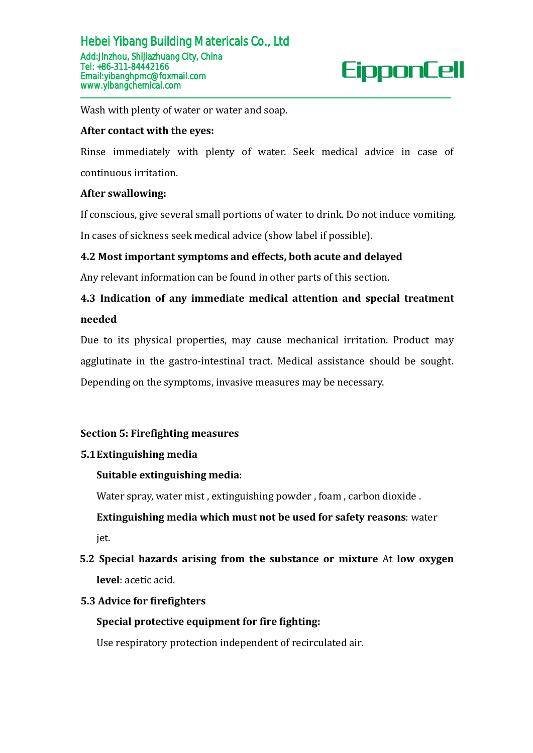Hebei Yibang Building Matericals Co., Ltd<br>
Add\_ilnzhou, Shijlazhuang City, China<br>
Tel: +86-311-84442166<br>
Email:ylbanghpmc@foxmal.com<br>
Www.ylbangchemical.com<br>
Wash with plenty of water or water and soap.<br> **After contact wit** Wash with plenty of water or water and soap.<br> **After contact with the eyes:**<br>
Rinse immediately with plenty of water. Seek medical advice in case of<br>
continuous irritation.<br> **After swallowing:**<br>
If conscious, give several After contact with the eyes:<br>
Rinse immediately with plenty of water. Seek medical advice in case of<br>
continuous irritation.<br>
After swallowing:<br>
If conscious, give several small portions of water to drink. Do not induce vo **4.2 Most implemix implemix implemix** of water and soap.<br> **4.42 Most immediately with plenty of water.** Seek medical advice in case of<br>
continuous irritation.<br> **4.42 Most important symptoms and effects, both acute and dela** France immediately with plenty of water. Seek medical advice in case of<br>
continuous irritation.<br> **After swallowing:**<br>
If conscious, give several small portions of water to drink. Do not induce vomiting.<br>
In cases of sickne

# **needed**

continuous irritation.<br>After swallowing:<br>If conscious, give several small portions of water to drink. Do not induce vomiting.<br>In cases of sickness seek medical advice (show label if possible).<br>4.2 Most important symptoms a In cases of sickness seek medical advice (show label if possible).<br>4.2 Most important symptoms and effects, both acute and delayed<br>Any relevant information can be found in other parts of this section.<br>4.3 Indication of any 4.2 Most important symptoms and effects, both acute and delayed<br>Any relevant information can be found in other parts of this section.<br>4.3 Indication of any immediate medical attention and special treatment<br>needed<br>Due to it Any relevant information can be found in other parts of this section.<br>
4.3 Indication of any immediate medical attention and special treatment<br>
needed<br>
Due to its physical properties, may cause mechanical irritation. Produ

# **Section 5: Firefighting measures**

### **5.1Extinguishing media**

# **Suitable extinguishing media**:

Water spray, water mist , extinguishing powder , foam , carbon dioxide .

**Extinguishing media which must not be used for safety reasons**: water jet.

# **5.2 Special hazards arising from the substanceor mixture** At **low oxygen level**: acetic acid.

### **5.3 Advice for firefighters**

# **Special protective equipment for fire fighting:**

Use respiratory protection independent of recirculated air.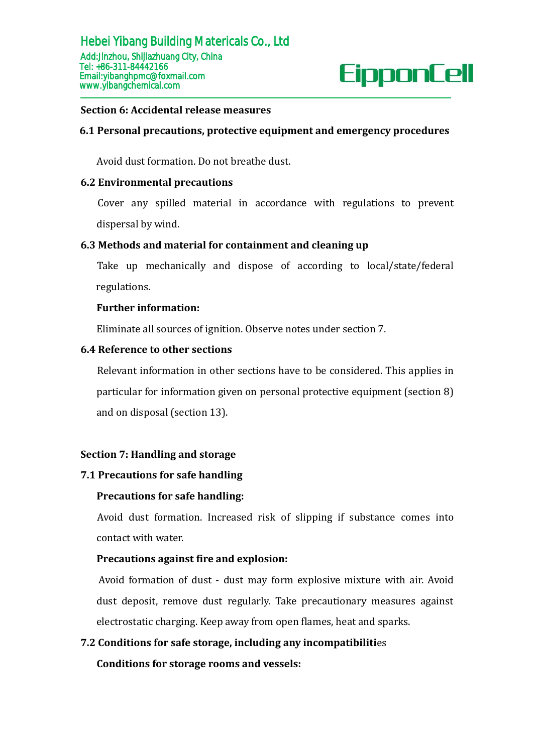

Avoid dust formation. Do not breathe dust.

### **6.2 Environmental precautions**

Cover any spilled material in accordance with regulations to prevent dispersal by wind.

### **6.3 Methods and material for containment and cleaning up**

Take up mechanically and dispose of according to local/state/federal regulations.

### **Further information:**

Eliminate all sources of ignition. Observe notes under section 7.

### **6.4 Reference to other sections**

Relevant information in other sections have to be considered. This applies in particular for information given on personal protective equipment (section 8) and on disposal (section 13).

### **Section 7: Handling and storage**

### **7.1 Precautions for safe handling**

### **Precautions for safe handling:**

Avoid dust formation. Increased risk of slipping if substance comes into contact with water.

### **Precautions against fire and explosion:**

Avoid formation of dust - dust may form explosive mixture with air. Avoid dust deposit, remove dust regularly. Take precautionary measures against electrostatic charging. Keep away from open flames, heat and sparks.

### **7.2 Conditions for safe storage, including any incompatibiliti**es

**Conditions for storage rooms and vessels:**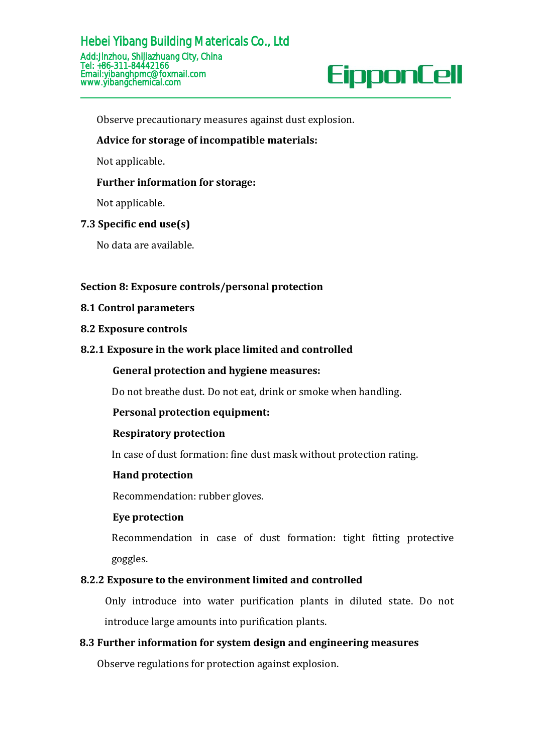

Observe precautionary measures against dust explosion.

### **Advice for storage of incompatible materials:**

Not applicable.

### **Further information for storage:**

Not applicable.

### **7.3 Specific end use(s)**

No data are available.

### **Section 8: Exposure controls/personal protection**

### **8.1 Control parameters**

### **8.2 Exposure controls**

### **8.2.1 Exposure in the work place limited and controlled**

### **General protection and hygiene measures:**

Do not breathe dust. Do not eat, drink or smoke when handling.

### **Personal protection equipment:**

### **Respiratory protection**

In case of dust formation: fine dust mask without protection rating.

### **Hand protection**

Recommendation: rubber gloves.

### **Eye protection**

Recommendation in case of dust formation: tight fitting protective goggles.

### **8.2.2 Exposure to the environment limited and controlled**

Only introduce into water purification plants in diluted state. Do not introduce large amounts into purification plants.

### **8.3 Further information for system design and engineering measures**

Observe regulations for protection against explosion.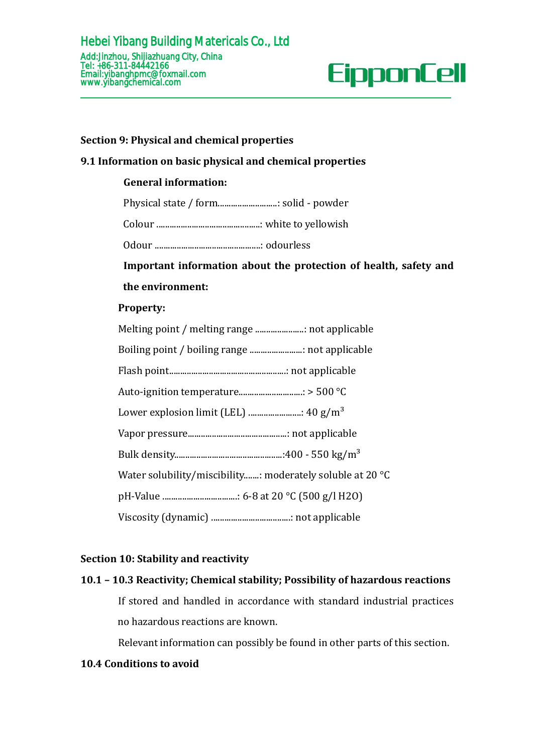

### **Section 9: Physical and chemical properties**

### **9.1 Information on basicphysical and chemical properties**

### **General information:**

Physical state / form...........................: solid - powder

Colour ...............................................: white to yellowish

Odour ................................................: odourless

**Important information about the protection of health, safety and**

### **the environment:**

### **Property:**

| Water solubility/miscibility: moderately soluble at 20 °C |
|-----------------------------------------------------------|
|                                                           |
|                                                           |

### **Section 10: Stability and reactivity**

### **10.1 – 10.3 Reactivity; Chemical stability; Possibility of hazardous reactions**

If stored and handled in accordance with standard industrial practices no hazardous reactions are known.

Relevant information can possibly be found in other parts of this section.

### **10.4 Conditions to avoid**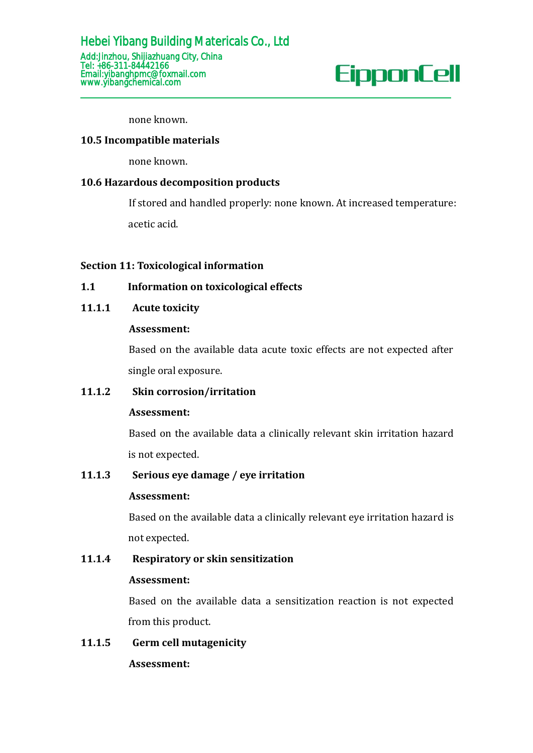none known.

### **10.5 Incompatible materials**

none known.

### **10.6 Hazardous decomposition products**

If stored and handled properly: none known. At increased temperature:

acetic acid.

### **Section 11: Toxicological information**

### **1.1 Information on toxicological effects**

### **11.1.1 Acute toxicity**

### **Assessment:**

Based on the available data acute toxic effects are not expected after single oral exposure.

### **11.1.2 Skin corrosion/irritation**

### **Assessment:**

Based on the available data a clinically relevant skin irritation hazard is not expected.

### **11.1.3 Serious eye damage / eye irritation**

### **Assessment:**

Based on the available data a clinically relevant eye irritation hazard is not expected.

# **11.1.4 Respiratory or skin sensitization**

### **Assessment:**

Based on the available data a sensitization reaction is not expected from this product.

# **11.1.5 Germ cell mutagenicity**

**Assessment:**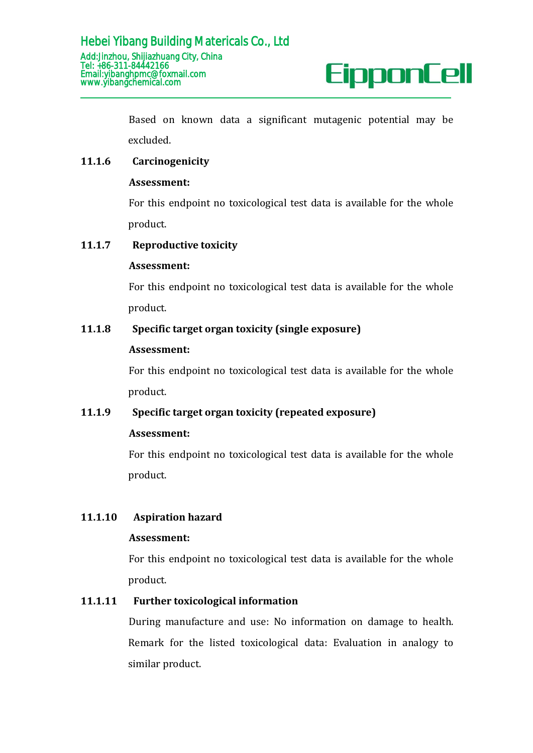

Based on known data a significant mutagenic potential may be excluded.

### **11.1.6 Carcinogenicity**

### **Assessment:**

For this endpoint no toxicological test data is available for the whole product.

### **11.1.7 Reproductive toxicity**

### **Assessment:**

For this endpoint no toxicological test data is available for the whole product.

### **11.1.8 Specific target organ toxicity (single exposure)**

### **Assessment:**

For this endpoint no toxicological test data is available for the whole product.

### **11.1.9 Specific target organ toxicity (repeated exposure)**

### **Assessment:**

For this endpoint no toxicological test data is available for the whole product.

### **11.1.10 Aspiration hazard**

### **Assessment:**

For this endpoint no toxicological test data is available for the whole product.

### **11.1.11 Further toxicological information**

During manufacture and use: No information on damage to health. Remark for the listed toxicological data: Evaluation in analogy to similar product.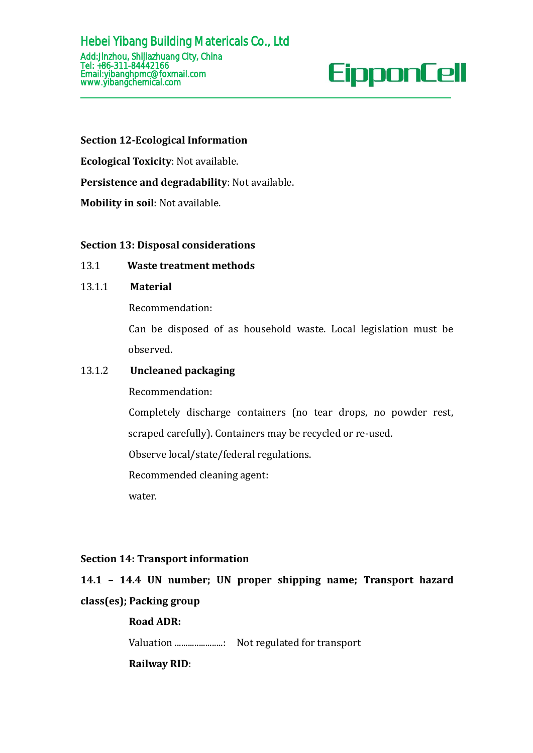### **Section 12-Ecological Information**

**Ecological Toxicity**: Not available.

**Persistence and degradability**: Not available.

**Mobility in soil**: Not available.

### **Section 13: Disposal considerations**

### 13.1 **Waste treatment methods**

### 13.1.1 **Material**

Recommendation:

Can be disposed of as household waste. Local legislation must be observed.

### 13.1.2 **Uncleaned packaging**

Recommendation:

Completely discharge containers (no tear drops, no powder rest,

scraped carefully). Containers may be recycled or re-used.

Observe local/state/federal regulations.

Recommended cleaning agent:

water.

### **Section 14: Transport information**

# **14.1 – 14.4 UN number; UN proper shipping name; Transport hazard class(es); Packing group**

### **Road ADR:**

Valuation ......................: Not regulated for transport

**Railway RID**: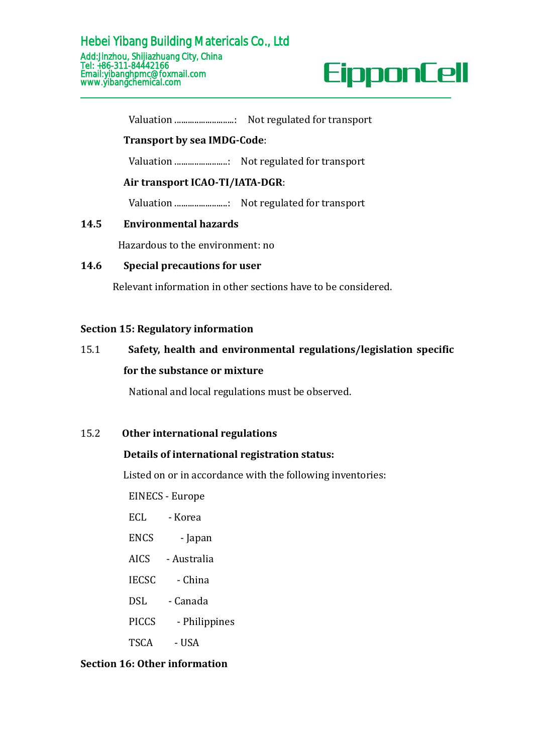

Valuation ...........................: Not regulated for transport

### **Transport by sea IMDG-Code**:

Valuation ........................: Not regulated for transport

### **Air transport ICAO-TI/IATA-DGR**:

Valuation ........................: Not regulated for transport

### **14.5 Environmental hazards**

Hazardous to the environment: no

### **14.6 Special precautions for user**

Relevant information in other sections have to be considered.

### **Section 15: Regulatory information**

# 15.1 **Safety, health and environmental regulations/legislation specific for the substance or mixture**

National and local regulations must be observed.

### 15.2 **Other international regulations**

### **Details of international registration status:**

Listed on or in accordance with the following inventories:

EINECS - Europe

- ECL Korea
- ENCS Japan
- AICS Australia
- IECSC China
- DSL Canada
- PICCS Philippines
- TSCA USA

### **Section 16: Other information**